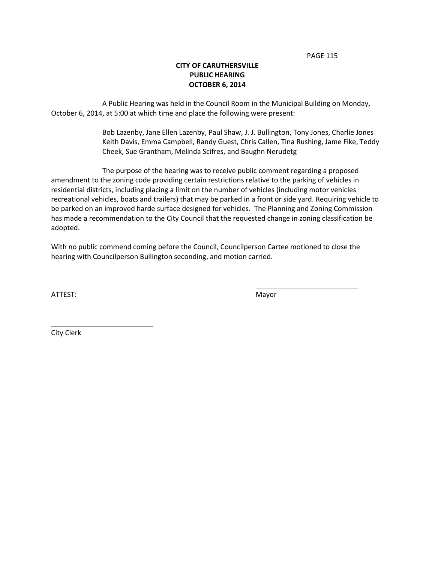PAGE 115

## **CITY OF CARUTHERSVILLE PUBLIC HEARING OCTOBER 6, 2014**

A Public Hearing was held in the Council Room in the Municipal Building on Monday, October 6, 2014, at 5:00 at which time and place the following were present:

> Bob Lazenby, Jane Ellen Lazenby, Paul Shaw, J. J. Bullington, Tony Jones, Charlie Jones Keith Davis, Emma Campbell, Randy Guest, Chris Callen, Tina Rushing, Jame Fike, Teddy Cheek, Sue Grantham, Melinda Scifres, and Baughn Nerudetg

The purpose of the hearing was to receive public comment regarding a proposed amendment to the zoning code providing certain restrictions relative to the parking of vehicles in residential districts, including placing a limit on the number of vehicles (including motor vehicles recreational vehicles, boats and trailers) that may be parked in a front or side yard. Requiring vehicle to be parked on an improved harde surface designed for vehicles. The Planning and Zoning Commission has made a recommendation to the City Council that the requested change in zoning classification be adopted.

With no public commend coming before the Council, Councilperson Cartee motioned to close the hearing with Councilperson Bullington seconding, and motion carried.

ATTEST: We are also assumed to the contract of the Mayor

City Clerk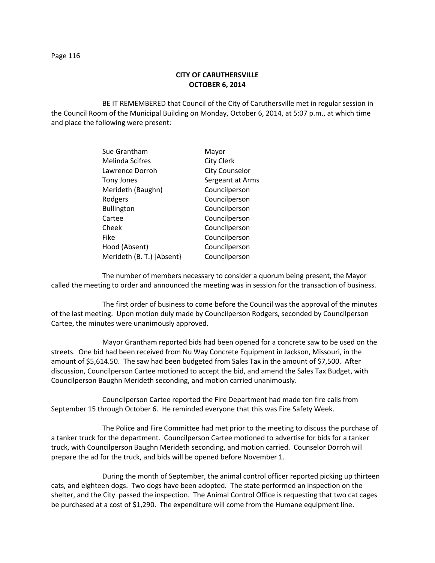### **CITY OF CARUTHERSVILLE OCTOBER 6, 2014**

BE IT REMEMBERED that Council of the City of Caruthersville met in regular session in the Council Room of the Municipal Building on Monday, October 6, 2014, at 5:07 p.m., at which time and place the following were present:

| Sue Grantham              | Mayor                 |
|---------------------------|-----------------------|
| <b>Melinda Scifres</b>    | <b>City Clerk</b>     |
| Lawrence Dorroh           | <b>City Counselor</b> |
| <b>Tony Jones</b>         | Sergeant at Arms      |
| Merideth (Baughn)         | Councilperson         |
| Rodgers                   | Councilperson         |
| <b>Bullington</b>         | Councilperson         |
| Cartee                    | Councilperson         |
| Cheek                     | Councilperson         |
| Fike                      | Councilperson         |
| Hood (Absent)             | Councilperson         |
| Merideth (B. T.) [Absent] | Councilperson         |
|                           |                       |

The number of members necessary to consider a quorum being present, the Mayor called the meeting to order and announced the meeting was in session for the transaction of business.

The first order of business to come before the Council was the approval of the minutes of the last meeting. Upon motion duly made by Councilperson Rodgers, seconded by Councilperson Cartee, the minutes were unanimously approved.

Mayor Grantham reported bids had been opened for a concrete saw to be used on the streets. One bid had been received from Nu Way Concrete Equipment in Jackson, Missouri, in the amount of \$5,614.50. The saw had been budgeted from Sales Tax in the amount of \$7,500. After discussion, Councilperson Cartee motioned to accept the bid, and amend the Sales Tax Budget, with Councilperson Baughn Merideth seconding, and motion carried unanimously.

Councilperson Cartee reported the Fire Department had made ten fire calls from September 15 through October 6. He reminded everyone that this was Fire Safety Week.

The Police and Fire Committee had met prior to the meeting to discuss the purchase of a tanker truck for the department. Councilperson Cartee motioned to advertise for bids for a tanker truck, with Councilperson Baughn Merideth seconding, and motion carried. Counselor Dorroh will prepare the ad for the truck, and bids will be opened before November 1.

During the month of September, the animal control officer reported picking up thirteen cats, and eighteen dogs. Two dogs have been adopted. The state performed an inspection on the shelter, and the City passed the inspection. The Animal Control Office is requesting that two cat cages be purchased at a cost of \$1,290. The expenditure will come from the Humane equipment line.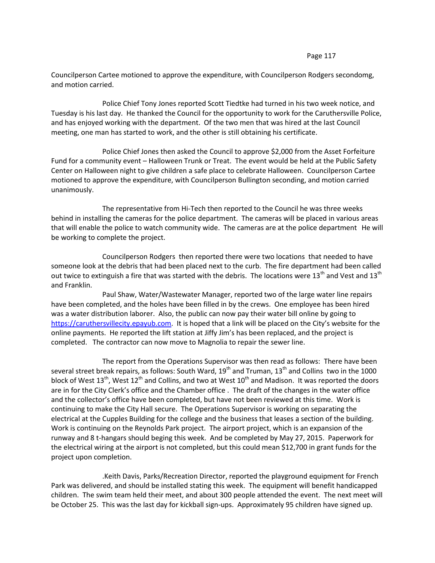Councilperson Cartee motioned to approve the expenditure, with Councilperson Rodgers secondomg, and motion carried.

Police Chief Tony Jones reported Scott Tiedtke had turned in his two week notice, and Tuesday is his last day. He thanked the Council for the opportunity to work for the Caruthersville Police, and has enjoyed working with the department. Of the two men that was hired at the last Council meeting, one man has started to work, and the other is still obtaining his certificate.

Police Chief Jones then asked the Council to approve \$2,000 from the Asset Forfeiture Fund for a community event – Halloween Trunk or Treat. The event would be held at the Public Safety Center on Halloween night to give children a safe place to celebrate Halloween. Councilperson Cartee motioned to approve the expenditure, with Councilperson Bullington seconding, and motion carried unanimously.

The representative from Hi-Tech then reported to the Council he was three weeks behind in installing the cameras for the police department. The cameras will be placed in various areas that will enable the police to watch community wide. The cameras are at the police department He will be working to complete the project.

Councilperson Rodgers then reported there were two locations that needed to have someone look at the debris that had been placed next to the curb. The fire department had been called out twice to extinguish a fire that was started with the debris. The locations were 13<sup>th</sup> and Vest and 13<sup>th</sup> and Franklin.

Paul Shaw, Water/Wastewater Manager, reported two of the large water line repairs have been completed, and the holes have been filled in by the crews. One employee has been hired was a water distribution laborer. Also, the public can now pay their water bill online by going to [https://caruthersvillecity.epayub.com](https://caruthersvillecity.epayub.com/). It is hoped that a link will be placed on the City's website for the online payments. He reported the lift station at Jiffy Jim's has been replaced, and the project is completed. The contractor can now move to Magnolia to repair the sewer line.

The report from the Operations Supervisor was then read as follows: There have been several street break repairs, as follows: South Ward,  $19<sup>th</sup>$  and Truman,  $13<sup>th</sup>$  and Collins two in the 1000 block of West  $13<sup>th</sup>$ , West  $12<sup>th</sup>$  and Collins, and two at West  $10<sup>th</sup>$  and Madison. It was reported the doors are in for the City Clerk's office and the Chamber office . The draft of the changes in the water office and the collector's office have been completed, but have not been reviewed at this time. Work is continuing to make the City Hall secure. The Operations Supervisor is working on separating the electrical at the Cupples Building for the college and the business that leases a section of the building. Work is continuing on the Reynolds Park project. The airport project, which is an expansion of the runway and 8 t-hangars should beging this week. And be completed by May 27, 2015. Paperwork for the electrical wiring at the airport is not completed, but this could mean \$12,700 in grant funds for the project upon completion.

.Keith Davis, Parks/Recreation Director, reported the playground equipment for French Park was delivered, and should be installed stating this week. The equipment will benefit handicapped children. The swim team held their meet, and about 300 people attended the event. The next meet will be October 25. This was the last day for kickball sign-ups. Approximately 95 children have signed up.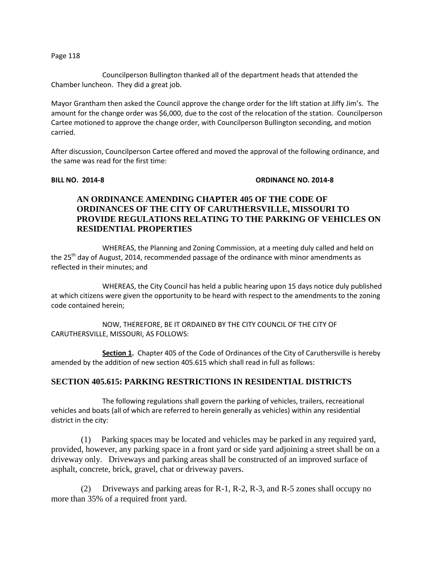Councilperson Bullington thanked all of the department heads that attended the Chamber luncheon. They did a great job.

Mayor Grantham then asked the Council approve the change order for the lift station at Jiffy Jim's. The amount for the change order was \$6,000, due to the cost of the relocation of the station. Councilperson Cartee motioned to approve the change order, with Councilperson Bullington seconding, and motion carried.

After discussion, Councilperson Cartee offered and moved the approval of the following ordinance, and the same was read for the first time:

### **BILL NO. 2014-8 ORDINANCE NO. 2014-8**

# **AN ORDINANCE AMENDING CHAPTER 405 OF THE CODE OF ORDINANCES OF THE CITY OF CARUTHERSVILLE, MISSOURI TO PROVIDE REGULATIONS RELATING TO THE PARKING OF VEHICLES ON RESIDENTIAL PROPERTIES**

WHEREAS, the Planning and Zoning Commission, at a meeting duly called and held on the 25<sup>th</sup> day of August, 2014, recommended passage of the ordinance with minor amendments as reflected in their minutes; and

WHEREAS, the City Council has held a public hearing upon 15 days notice duly published at which citizens were given the opportunity to be heard with respect to the amendments to the zoning code contained herein;

NOW, THEREFORE, BE IT ORDAINED BY THE CITY COUNCIL OF THE CITY OF CARUTHERSVILLE, MISSOURI, AS FOLLOWS:

**Section 1.** Chapter 405 of the Code of Ordinances of the City of Caruthersville is hereby amended by the addition of new section 405.615 which shall read in full as follows:

## **SECTION 405.615: PARKING RESTRICTIONS IN RESIDENTIAL DISTRICTS**

The following regulations shall govern the parking of vehicles, trailers, recreational vehicles and boats (all of which are referred to herein generally as vehicles) within any residential district in the city:

 (1) Parking spaces may be located and vehicles may be parked in any required yard, provided, however, any parking space in a front yard or side yard adjoining a street shall be on a driveway only. Driveways and parking areas shall be constructed of an improved surface of asphalt, concrete, brick, gravel, chat or driveway pavers.

 (2) Driveways and parking areas for R-1, R-2, R-3, and R-5 zones shall occupy no more than 35% of a required front yard.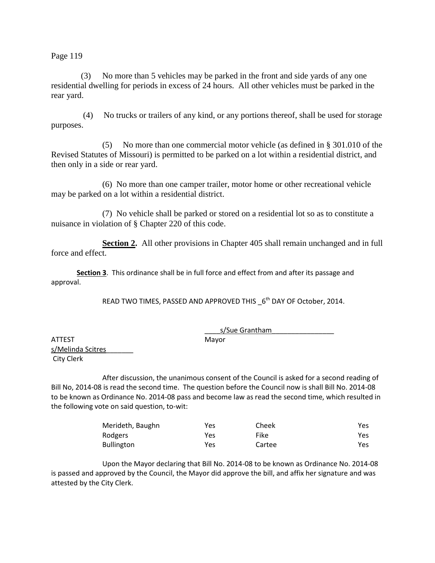(3) No more than 5 vehicles may be parked in the front and side yards of any one residential dwelling for periods in excess of 24 hours. All other vehicles must be parked in the rear yard.

 (4) No trucks or trailers of any kind, or any portions thereof, shall be used for storage purposes.

(5) No more than one commercial motor vehicle (as defined in § 301.010 of the Revised Statutes of Missouri) is permitted to be parked on a lot within a residential district, and then only in a side or rear yard.

(6) No more than one camper trailer, motor home or other recreational vehicle may be parked on a lot within a residential district.

(7) No vehicle shall be parked or stored on a residential lot so as to constitute a nuisance in violation of § Chapter 220 of this code.

**Section 2.** All other provisions in Chapter 405 shall remain unchanged and in full force and effect.

**Section 3**. This ordinance shall be in full force and effect from and after its passage and approval.

READ TWO TIMES, PASSED AND APPROVED THIS  $\_6^{\text{th}}$  DAY OF October, 2014.

\_\_\_\_s/Sue Grantham\_\_\_\_\_\_\_\_\_\_\_\_\_\_\_\_

ATTEST Mayor s/Melinda Scitres\_\_\_\_\_\_\_ City Clerk

After discussion, the unanimous consent of the Council is asked for a second reading of Bill No, 2014-08 is read the second time. The question before the Council now is shall Bill No. 2014-08 to be known as Ordinance No. 2014-08 pass and become law as read the second time, which resulted in the following vote on said question, to-wit:

| Merideth, Baughn  | Yes | Cheek  | Yes  |
|-------------------|-----|--------|------|
| Rodgers           | Yes | Fike   | Yes  |
| <b>Bullington</b> | Yes | Cartee | Yes. |

Upon the Mayor declaring that Bill No. 2014-08 to be known as Ordinance No. 2014-08 is passed and approved by the Council, the Mayor did approve the bill, and affix her signature and was attested by the City Clerk.